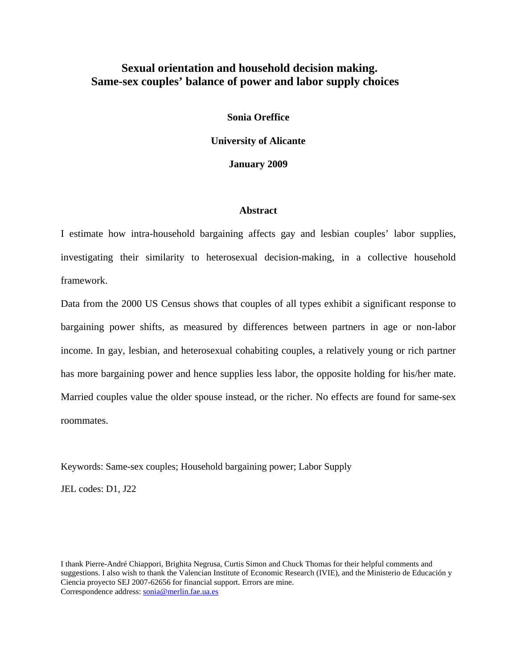## **Sexual orientation and household decision making. Same-sex couples' balance of power and labor supply choices**

**Sonia Oreffice University of Alicante** 

**January 2009** 

### **Abstract**

I estimate how intra-household bargaining affects gay and lesbian couples' labor supplies, investigating their similarity to heterosexual decision-making, in a collective household framework.

Data from the 2000 US Census shows that couples of all types exhibit a significant response to bargaining power shifts, as measured by differences between partners in age or non-labor income. In gay, lesbian, and heterosexual cohabiting couples, a relatively young or rich partner has more bargaining power and hence supplies less labor, the opposite holding for his/her mate. Married couples value the older spouse instead, or the richer. No effects are found for same-sex roommates.

Keywords: Same-sex couples; Household bargaining power; Labor Supply

JEL codes: D1, J22

I thank Pierre-André Chiappori, Brighita Negrusa, Curtis Simon and Chuck Thomas for their helpful comments and suggestions. I also wish to thank the Valencian Institute of Economic Research (IVIE), and the Ministerio de Educación y Ciencia proyecto SEJ 2007-62656 for financial support. Errors are mine. Correspondence address: sonia@merlin.fae.ua.es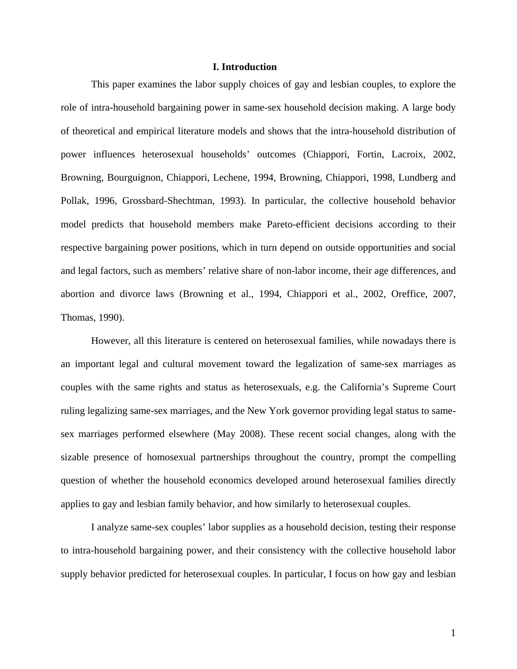### **I. Introduction**

This paper examines the labor supply choices of gay and lesbian couples, to explore the role of intra-household bargaining power in same-sex household decision making. A large body of theoretical and empirical literature models and shows that the intra-household distribution of power influences heterosexual households' outcomes (Chiappori, Fortin, Lacroix, 2002, Browning, Bourguignon, Chiappori, Lechene, 1994, Browning, Chiappori, 1998, Lundberg and Pollak, 1996, Grossbard-Shechtman, 1993). In particular, the collective household behavior model predicts that household members make Pareto-efficient decisions according to their respective bargaining power positions, which in turn depend on outside opportunities and social and legal factors, such as members' relative share of non-labor income, their age differences, and abortion and divorce laws (Browning et al., 1994, Chiappori et al., 2002, Oreffice, 2007, Thomas, 1990).

However, all this literature is centered on heterosexual families, while nowadays there is an important legal and cultural movement toward the legalization of same-sex marriages as couples with the same rights and status as heterosexuals, e.g. the California's Supreme Court ruling legalizing same-sex marriages, and the New York governor providing legal status to samesex marriages performed elsewhere (May 2008). These recent social changes, along with the sizable presence of homosexual partnerships throughout the country, prompt the compelling question of whether the household economics developed around heterosexual families directly applies to gay and lesbian family behavior, and how similarly to heterosexual couples.

I analyze same-sex couples' labor supplies as a household decision, testing their response to intra-household bargaining power, and their consistency with the collective household labor supply behavior predicted for heterosexual couples. In particular, I focus on how gay and lesbian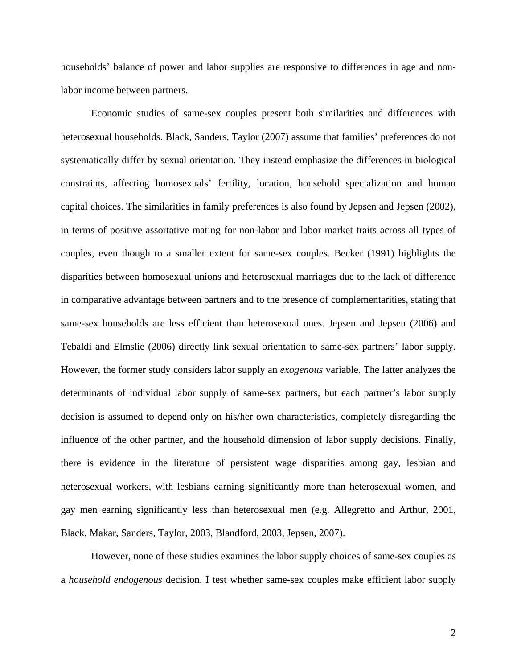households' balance of power and labor supplies are responsive to differences in age and nonlabor income between partners.

Economic studies of same-sex couples present both similarities and differences with heterosexual households. Black, Sanders, Taylor (2007) assume that families' preferences do not systematically differ by sexual orientation. They instead emphasize the differences in biological constraints, affecting homosexuals' fertility, location, household specialization and human capital choices. The similarities in family preferences is also found by Jepsen and Jepsen (2002), in terms of positive assortative mating for non-labor and labor market traits across all types of couples, even though to a smaller extent for same-sex couples. Becker (1991) highlights the disparities between homosexual unions and heterosexual marriages due to the lack of difference in comparative advantage between partners and to the presence of complementarities, stating that same-sex households are less efficient than heterosexual ones. Jepsen and Jepsen (2006) and Tebaldi and Elmslie (2006) directly link sexual orientation to same-sex partners' labor supply. However, the former study considers labor supply an *exogenous* variable. The latter analyzes the determinants of individual labor supply of same-sex partners, but each partner's labor supply decision is assumed to depend only on his/her own characteristics, completely disregarding the influence of the other partner, and the household dimension of labor supply decisions. Finally, there is evidence in the literature of persistent wage disparities among gay, lesbian and heterosexual workers, with lesbians earning significantly more than heterosexual women, and gay men earning significantly less than heterosexual men (e.g. Allegretto and Arthur, 2001, Black, Makar, Sanders, Taylor, 2003, Blandford, 2003, Jepsen, 2007).

However, none of these studies examines the labor supply choices of same-sex couples as a *household endogenous* decision. I test whether same-sex couples make efficient labor supply

2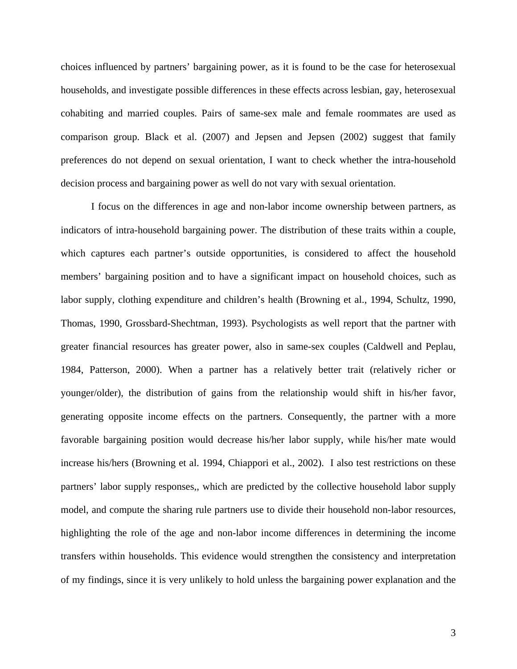choices influenced by partners' bargaining power, as it is found to be the case for heterosexual households, and investigate possible differences in these effects across lesbian, gay, heterosexual cohabiting and married couples. Pairs of same-sex male and female roommates are used as comparison group. Black et al. (2007) and Jepsen and Jepsen (2002) suggest that family preferences do not depend on sexual orientation, I want to check whether the intra-household decision process and bargaining power as well do not vary with sexual orientation.

I focus on the differences in age and non-labor income ownership between partners, as indicators of intra-household bargaining power. The distribution of these traits within a couple, which captures each partner's outside opportunities, is considered to affect the household members' bargaining position and to have a significant impact on household choices, such as labor supply, clothing expenditure and children's health (Browning et al., 1994, Schultz, 1990, Thomas, 1990, Grossbard-Shechtman, 1993). Psychologists as well report that the partner with greater financial resources has greater power, also in same-sex couples (Caldwell and Peplau, 1984, Patterson, 2000). When a partner has a relatively better trait (relatively richer or younger/older), the distribution of gains from the relationship would shift in his/her favor, generating opposite income effects on the partners. Consequently, the partner with a more favorable bargaining position would decrease his/her labor supply, while his/her mate would increase his/hers (Browning et al. 1994, Chiappori et al., 2002). I also test restrictions on these partners' labor supply responses,, which are predicted by the collective household labor supply model, and compute the sharing rule partners use to divide their household non-labor resources, highlighting the role of the age and non-labor income differences in determining the income transfers within households. This evidence would strengthen the consistency and interpretation of my findings, since it is very unlikely to hold unless the bargaining power explanation and the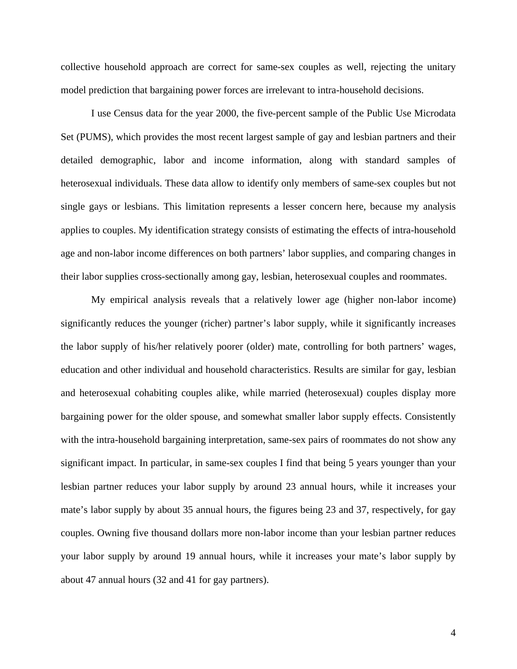collective household approach are correct for same-sex couples as well, rejecting the unitary model prediction that bargaining power forces are irrelevant to intra-household decisions.

 I use Census data for the year 2000, the five-percent sample of the Public Use Microdata Set (PUMS), which provides the most recent largest sample of gay and lesbian partners and their detailed demographic, labor and income information, along with standard samples of heterosexual individuals. These data allow to identify only members of same-sex couples but not single gays or lesbians. This limitation represents a lesser concern here, because my analysis applies to couples. My identification strategy consists of estimating the effects of intra-household age and non-labor income differences on both partners' labor supplies, and comparing changes in their labor supplies cross-sectionally among gay, lesbian, heterosexual couples and roommates.

My empirical analysis reveals that a relatively lower age (higher non-labor income) significantly reduces the younger (richer) partner's labor supply, while it significantly increases the labor supply of his/her relatively poorer (older) mate, controlling for both partners' wages, education and other individual and household characteristics. Results are similar for gay, lesbian and heterosexual cohabiting couples alike, while married (heterosexual) couples display more bargaining power for the older spouse, and somewhat smaller labor supply effects. Consistently with the intra-household bargaining interpretation, same-sex pairs of roommates do not show any significant impact. In particular, in same-sex couples I find that being 5 years younger than your lesbian partner reduces your labor supply by around 23 annual hours, while it increases your mate's labor supply by about 35 annual hours, the figures being 23 and 37, respectively, for gay couples. Owning five thousand dollars more non-labor income than your lesbian partner reduces your labor supply by around 19 annual hours, while it increases your mate's labor supply by about 47 annual hours (32 and 41 for gay partners).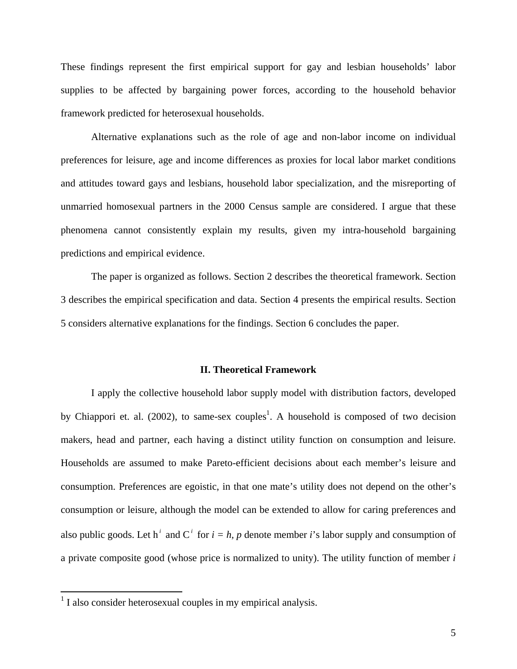These findings represent the first empirical support for gay and lesbian households' labor supplies to be affected by bargaining power forces, according to the household behavior framework predicted for heterosexual households.

 Alternative explanations such as the role of age and non-labor income on individual preferences for leisure, age and income differences as proxies for local labor market conditions and attitudes toward gays and lesbians, household labor specialization, and the misreporting of unmarried homosexual partners in the 2000 Census sample are considered. I argue that these phenomena cannot consistently explain my results, given my intra-household bargaining predictions and empirical evidence.

 The paper is organized as follows. Section 2 describes the theoretical framework. Section 3 describes the empirical specification and data. Section 4 presents the empirical results. Section 5 considers alternative explanations for the findings. Section 6 concludes the paper.

### **II. Theoretical Framework**

I apply the collective household labor supply model with distribution factors, developed by Chiappori et. al. (2002), to same-sex couples<sup>1</sup>. A household is composed of two decision makers, head and partner, each having a distinct utility function on consumption and leisure. Households are assumed to make Pareto-efficient decisions about each member's leisure and consumption. Preferences are egoistic, in that one mate's utility does not depend on the other's consumption or leisure, although the model can be extended to allow for caring preferences and also public goods. Let h<sup>*i*</sup> and C<sup>*i*</sup> for  $i = h$ , p denote member *i*'s labor supply and consumption of a private composite good (whose price is normalized to unity). The utility function of member *i*

 1 I also consider heterosexual couples in my empirical analysis.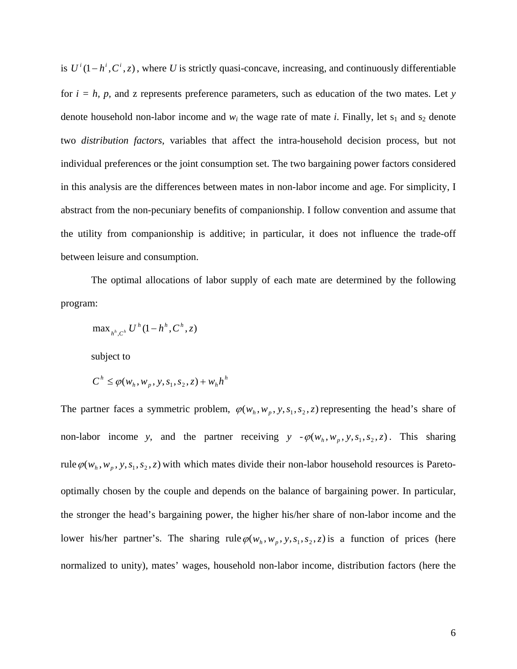is  $U^{i}(1 - h^{i}, C^{i}, z)$ , where *U* is strictly quasi-concave, increasing, and continuously differentiable for  $i = h$ , p, and z represents preference parameters, such as education of the two mates. Let *y* denote household non-labor income and  $w_i$  the wage rate of mate *i*. Finally, let  $s_1$  and  $s_2$  denote two *distribution factors*, variables that affect the intra-household decision process, but not individual preferences or the joint consumption set. The two bargaining power factors considered in this analysis are the differences between mates in non-labor income and age. For simplicity, I abstract from the non-pecuniary benefits of companionship. I follow convention and assume that the utility from companionship is additive; in particular, it does not influence the trade-off between leisure and consumption.

The optimal allocations of labor supply of each mate are determined by the following program:

$$
\max\nolimits_{h^h, C^h} U^h (1 - h^h, C^h, z)
$$

subject to

$$
C^h \leq \varphi(w_h, w_p, y, s_1, s_2, z) + w_h h^h
$$

The partner faces a symmetric problem,  $\varphi(w_h, w_p, y, s_1, s_2, z)$  representing the head's share of non-labor income *y*, and the partner receiving *y*  $-\varphi(w_h, w_p, y, s_1, s_2, z)$ . This sharing rule  $\varphi(w_h, w_p, y, s_1, s_2, z)$  with which mates divide their non-labor household resources is Paretooptimally chosen by the couple and depends on the balance of bargaining power. In particular, the stronger the head's bargaining power, the higher his/her share of non-labor income and the lower his/her partner's. The sharing rule  $\varphi(w_h, w_n, y, s_1, s_2, z)$  is a function of prices (here normalized to unity), mates' wages, household non-labor income, distribution factors (here the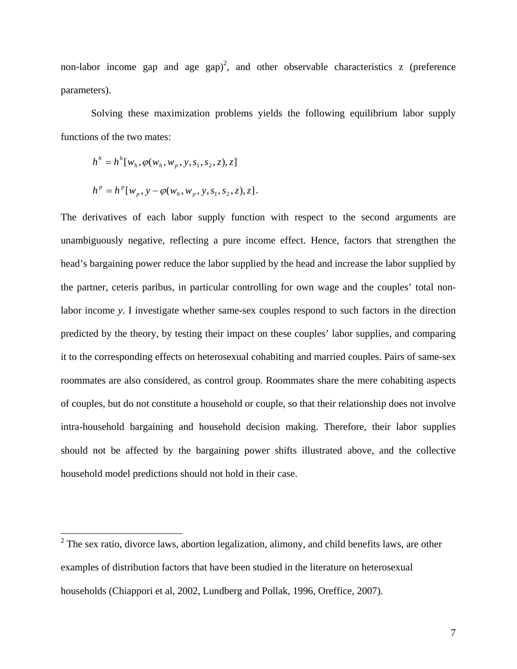non-labor income gap and age  $\text{gap}^2$ , and other observable characteristics z (preference parameters).

Solving these maximization problems yields the following equilibrium labor supply functions of the two mates:

$$
h^{h} = h^{h}[w_{h}, \varphi(w_{h}, w_{p}, y, s_{1}, s_{2}, z), z]
$$
  

$$
h^{p} = h^{p}[w_{p}, y - \varphi(w_{h}, w_{p}, y, s_{1}, s_{2}, z), z].
$$

The derivatives of each labor supply function with respect to the second arguments are unambiguously negative, reflecting a pure income effect. Hence, factors that strengthen the head's bargaining power reduce the labor supplied by the head and increase the labor supplied by the partner, ceteris paribus, in particular controlling for own wage and the couples' total nonlabor income *y*. I investigate whether same-sex couples respond to such factors in the direction predicted by the theory, by testing their impact on these couples' labor supplies, and comparing it to the corresponding effects on heterosexual cohabiting and married couples. Pairs of same-sex roommates are also considered, as control group. Roommates share the mere cohabiting aspects of couples, but do not constitute a household or couple, so that their relationship does not involve intra-household bargaining and household decision making. Therefore, their labor supplies should not be affected by the bargaining power shifts illustrated above, and the collective household model predictions should not hold in their case.

<sup>&</sup>lt;sup>2</sup> The sex ratio, divorce laws, abortion legalization, alimony, and child benefits laws, are other examples of distribution factors that have been studied in the literature on heterosexual households (Chiappori et al, 2002, Lundberg and Pollak, 1996, Oreffice, 2007).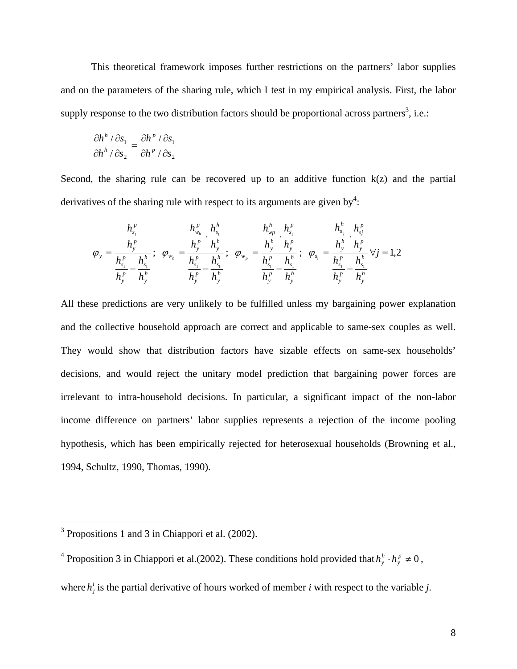This theoretical framework imposes further restrictions on the partners' labor supplies and on the parameters of the sharing rule, which I test in my empirical analysis. First, the labor supply response to the two distribution factors should be proportional across partners<sup>3</sup>, i.e.:

$$
\frac{\partial h^{h}/\partial s_{1}}{\partial h^{h}/\partial s_{2}} = \frac{\partial h^{p}/\partial s_{1}}{\partial h^{p}/\partial s_{2}}
$$

Second, the sharing rule can be recovered up to an additive function  $k(z)$  and the partial derivatives of the sharing rule with respect to its arguments are given by<sup>4</sup>:

$$
\varphi_{y} = \frac{\frac{h_{s_1}^p}{h_{y}^p}}{\frac{h_{s_1}^p}{h_{y}^p} - \frac{h_{s_1}^h}{h_{y}^h}}; \quad \varphi_{w_h} = \frac{\frac{h_{w_h}^p}{h_{y}^p} \cdot \frac{h_{s_1}^h}{h_{y}^h}}{\frac{h_{s_1}^p}{h_{y}^p} - \frac{h_{s_1}^h}{h_{y}^h}}; \quad \varphi_{w_p} = \frac{\frac{h_{w_p}^h}{h_{y}^p} \cdot \frac{h_{s_1}^p}{h_{y}^p}}{\frac{h_{s_1}^p}{h_{y}^p} - \frac{h_{s_1}^h}{h_{y}^h}}; \quad \varphi_{s_i} = \frac{\frac{h_{s_i}^h}{h_{y}^h} \cdot \frac{h_{s_j}^p}{h_{y}^p}}{\frac{h_{s_i}^p}{h_{y}^p} - \frac{h_{s_1}^h}{h_{y}^h}} \quad \forall j = 1, 2
$$

All these predictions are very unlikely to be fulfilled unless my bargaining power explanation and the collective household approach are correct and applicable to same-sex couples as well. They would show that distribution factors have sizable effects on same-sex households' decisions, and would reject the unitary model prediction that bargaining power forces are irrelevant to intra-household decisions. In particular, a significant impact of the non-labor income difference on partners' labor supplies represents a rejection of the income pooling hypothesis, which has been empirically rejected for heterosexual households (Browning et al., 1994, Schultz, 1990, Thomas, 1990).

where  $h_j^i$  is the partial derivative of hours worked of member *i* with respect to the variable *j*.

<sup>&</sup>lt;sup>3</sup> Propositions 1 and 3 in Chiappori et al. (2002).

<sup>&</sup>lt;sup>4</sup> Proposition 3 in Chiappori et al.(2002). These conditions hold provided that  $h_y^h \cdot h_y^p \neq 0$  $h_y^h \cdot h_y^p \neq 0$ ,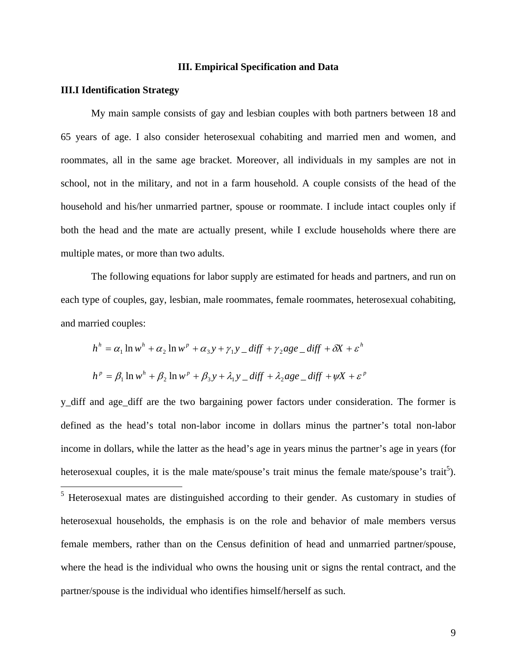### **III. Empirical Specification and Data**

### **III.I Identification Strategy**

My main sample consists of gay and lesbian couples with both partners between 18 and 65 years of age. I also consider heterosexual cohabiting and married men and women, and roommates, all in the same age bracket. Moreover, all individuals in my samples are not in school, not in the military, and not in a farm household. A couple consists of the head of the household and his/her unmarried partner, spouse or roommate. I include intact couples only if both the head and the mate are actually present, while I exclude households where there are multiple mates, or more than two adults.

The following equations for labor supply are estimated for heads and partners, and run on each type of couples, gay, lesbian, male roommates, female roommates, heterosexual cohabiting, and married couples:

$$
h^h = \alpha_1 \ln w^h + \alpha_2 \ln w^p + \alpha_3 y + \gamma_1 y \cdot \text{diff} + \gamma_2 \text{age} \cdot \text{diff} + \delta X + \varepsilon^h
$$
  

$$
h^p = \beta_1 \ln w^h + \beta_2 \ln w^p + \beta_3 y + \lambda_1 y \cdot \text{diff} + \lambda_2 \text{age} \cdot \text{diff} + \psi X + \varepsilon^p
$$

y\_diff and age\_diff are the two bargaining power factors under consideration. The former is defined as the head's total non-labor income in dollars minus the partner's total non-labor income in dollars, while the latter as the head's age in years minus the partner's age in years (for heterosexual couples, it is the male mate/spouse's trait minus the female mate/spouse's trait<sup>5</sup>).  $\overline{a}$ <sup>5</sup> Heterosexual mates are distinguished according to their gender. As customary in studies of heterosexual households, the emphasis is on the role and behavior of male members versus female members, rather than on the Census definition of head and unmarried partner/spouse, where the head is the individual who owns the housing unit or signs the rental contract, and the partner/spouse is the individual who identifies himself/herself as such.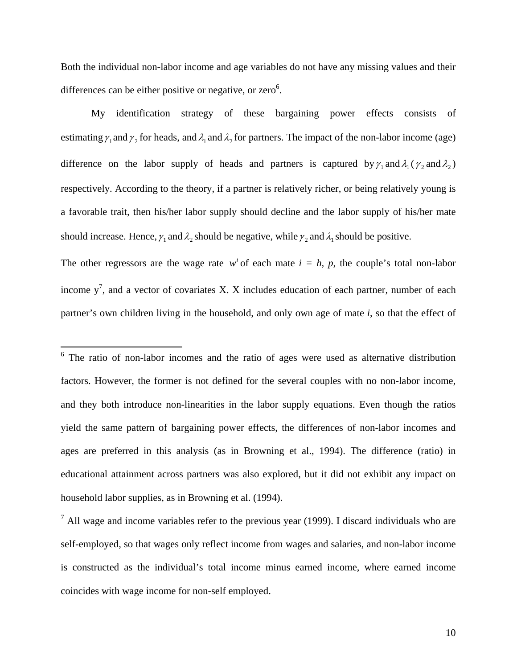Both the individual non-labor income and age variables do not have any missing values and their differences can be either positive or negative, or zero $6$ .

My identification strategy of these bargaining power effects consists of estimating  $\gamma_1$  and  $\gamma_2$  for heads, and  $\lambda_1$  and  $\lambda_2$  for partners. The impact of the non-labor income (age) difference on the labor supply of heads and partners is captured by  $\gamma_1$  and  $\lambda_1$  ( $\gamma_2$  and  $\lambda_2$ ) respectively. According to the theory, if a partner is relatively richer, or being relatively young is a favorable trait, then his/her labor supply should decline and the labor supply of his/her mate should increase. Hence,  $\gamma_1$  and  $\lambda_2$  should be negative, while  $\gamma_2$  and  $\lambda_1$  should be positive.

The other regressors are the wage rate  $w^{i}$  of each mate  $i = h$ , p, the couple's total non-labor income  $y^7$ , and a vector of covariates X. X includes education of each partner, number of each partner's own children living in the household, and only own age of mate *i*, so that the effect of

1

 $6$  The ratio of non-labor incomes and the ratio of ages were used as alternative distribution factors. However, the former is not defined for the several couples with no non-labor income, and they both introduce non-linearities in the labor supply equations. Even though the ratios yield the same pattern of bargaining power effects, the differences of non-labor incomes and ages are preferred in this analysis (as in Browning et al., 1994). The difference (ratio) in educational attainment across partners was also explored, but it did not exhibit any impact on household labor supplies, as in Browning et al. (1994).

 $<sup>7</sup>$  All wage and income variables refer to the previous year (1999). I discard individuals who are</sup> self-employed, so that wages only reflect income from wages and salaries, and non-labor income is constructed as the individual's total income minus earned income, where earned income coincides with wage income for non-self employed.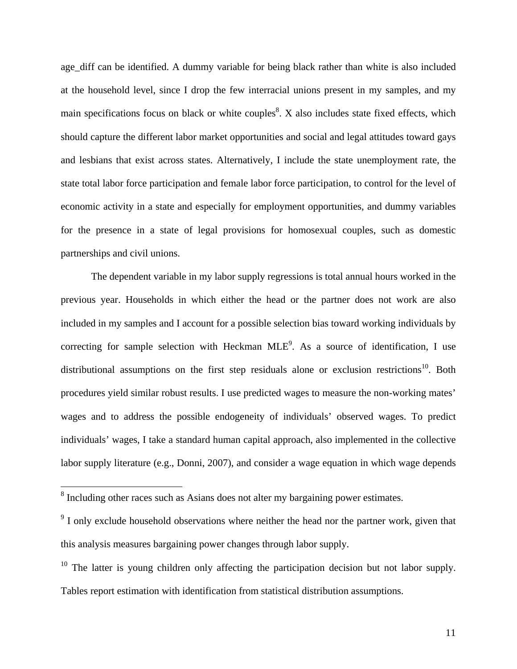age\_diff can be identified. A dummy variable for being black rather than white is also included at the household level, since I drop the few interracial unions present in my samples, and my main specifications focus on black or white couples<sup>8</sup>. X also includes state fixed effects, which should capture the different labor market opportunities and social and legal attitudes toward gays and lesbians that exist across states. Alternatively, I include the state unemployment rate, the state total labor force participation and female labor force participation, to control for the level of economic activity in a state and especially for employment opportunities, and dummy variables for the presence in a state of legal provisions for homosexual couples, such as domestic partnerships and civil unions.

The dependent variable in my labor supply regressions is total annual hours worked in the previous year. Households in which either the head or the partner does not work are also included in my samples and I account for a possible selection bias toward working individuals by correcting for sample selection with Heckman  $MLE<sup>9</sup>$ . As a source of identification, I use distributional assumptions on the first step residuals alone or exclusion restrictions<sup>10</sup>. Both procedures yield similar robust results. I use predicted wages to measure the non-working mates' wages and to address the possible endogeneity of individuals' observed wages. To predict individuals' wages, I take a standard human capital approach, also implemented in the collective labor supply literature (e.g., Donni, 2007), and consider a wage equation in which wage depends

 $\overline{a}$ 

<sup>&</sup>lt;sup>8</sup> Including other races such as Asians does not alter my bargaining power estimates.

 $9<sup>9</sup>$  I only exclude household observations where neither the head nor the partner work, given that this analysis measures bargaining power changes through labor supply.

 $10$  The latter is young children only affecting the participation decision but not labor supply. Tables report estimation with identification from statistical distribution assumptions.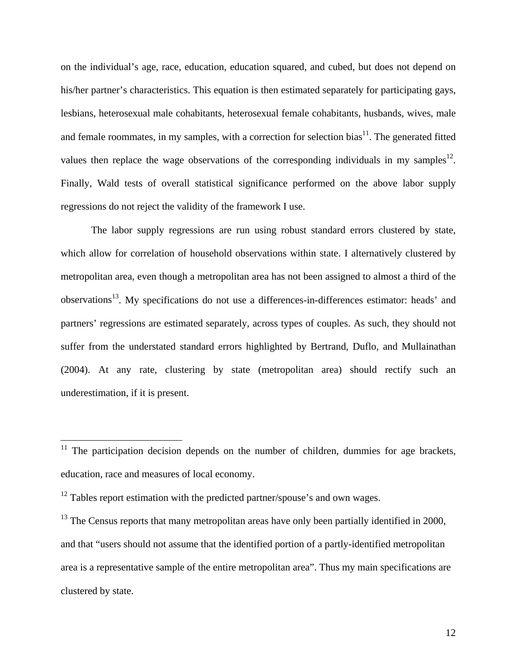on the individual's age, race, education, education squared, and cubed, but does not depend on his/her partner's characteristics. This equation is then estimated separately for participating gays, lesbians, heterosexual male cohabitants, heterosexual female cohabitants, husbands, wives, male and female roommates, in my samples, with a correction for selection bias<sup>11</sup>. The generated fitted values then replace the wage observations of the corresponding individuals in my samples<sup>12</sup>. Finally, Wald tests of overall statistical significance performed on the above labor supply regressions do not reject the validity of the framework I use.

The labor supply regressions are run using robust standard errors clustered by state, which allow for correlation of household observations within state. I alternatively clustered by metropolitan area, even though a metropolitan area has not been assigned to almost a third of the observations<sup>13</sup>. My specifications do not use a differences-in-differences estimator: heads' and partners' regressions are estimated separately, across types of couples. As such, they should not suffer from the understated standard errors highlighted by Bertrand, Duflo, and Mullainathan (2004). At any rate, clustering by state (metropolitan area) should rectify such an underestimation, if it is present.

 $\overline{a}$ 

 $11$  The participation decision depends on the number of children, dummies for age brackets, education, race and measures of local economy.

 $12$  Tables report estimation with the predicted partner/spouse's and own wages.

 $13$  The Census reports that many metropolitan areas have only been partially identified in 2000, and that "users should not assume that the identified portion of a partly-identified metropolitan area is a representative sample of the entire metropolitan area". Thus my main specifications are clustered by state.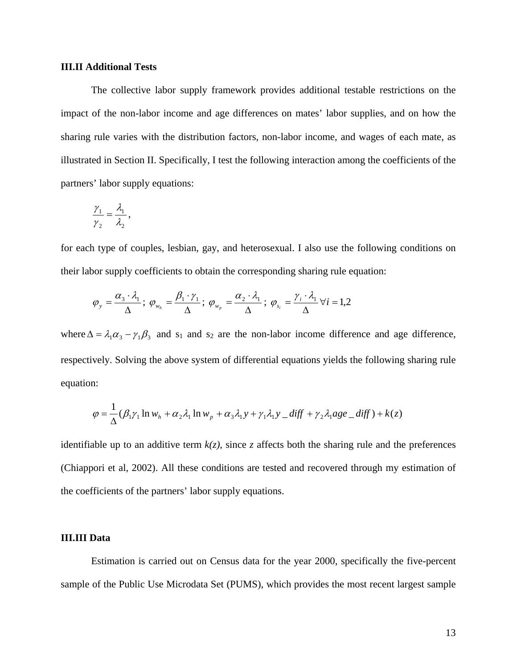### **III.II Additional Tests**

The collective labor supply framework provides additional testable restrictions on the impact of the non-labor income and age differences on mates' labor supplies, and on how the sharing rule varies with the distribution factors, non-labor income, and wages of each mate, as illustrated in Section II. Specifically, I test the following interaction among the coefficients of the partners' labor supply equations:

$$
\frac{\gamma_1}{\gamma_2} = \frac{\lambda_1}{\lambda_2},
$$

for each type of couples, lesbian, gay, and heterosexual. I also use the following conditions on their labor supply coefficients to obtain the corresponding sharing rule equation:

$$
\varphi_{y} = \frac{\alpha_{3} \cdot \lambda_{1}}{\Delta}; \ \varphi_{w_{h}} = \frac{\beta_{1} \cdot \gamma_{1}}{\Delta}; \ \varphi_{w_{p}} = \frac{\alpha_{2} \cdot \lambda_{1}}{\Delta}; \ \varphi_{s_{i}} = \frac{\gamma_{i} \cdot \lambda_{1}}{\Delta} \forall i = 1, 2
$$

where  $\Delta = \lambda_1 \alpha_3 - \gamma_1 \beta_3$  and s<sub>1</sub> and s<sub>2</sub> are the non-labor income difference and age difference, respectively. Solving the above system of differential equations yields the following sharing rule equation:

$$
\varphi = \frac{1}{\Delta} (\beta_1 \gamma_1 \ln w_h + \alpha_2 \lambda_1 \ln w_p + \alpha_3 \lambda_1 y + \gamma_1 \lambda_1 y \_diff + \gamma_2 \lambda_1 age \_diff) + k(z)
$$

identifiable up to an additive term  $k(z)$ , since  $z$  affects both the sharing rule and the preferences (Chiappori et al, 2002). All these conditions are tested and recovered through my estimation of the coefficients of the partners' labor supply equations.

### **III.III Data**

Estimation is carried out on Census data for the year 2000, specifically the five-percent sample of the Public Use Microdata Set (PUMS), which provides the most recent largest sample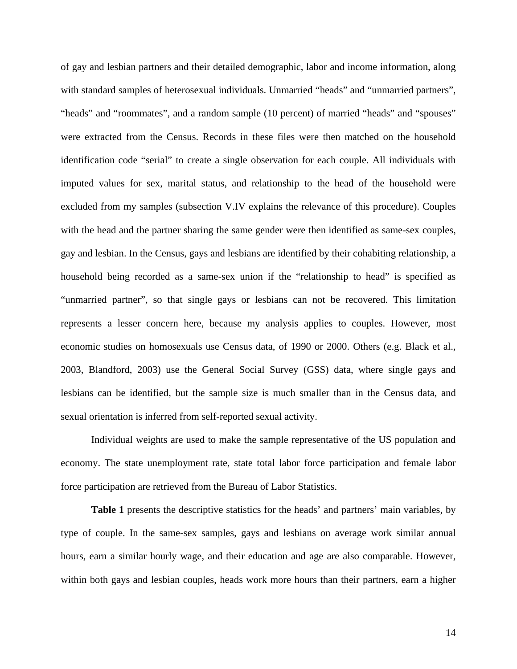of gay and lesbian partners and their detailed demographic, labor and income information, along with standard samples of heterosexual individuals. Unmarried "heads" and "unmarried partners", "heads" and "roommates", and a random sample (10 percent) of married "heads" and "spouses" were extracted from the Census. Records in these files were then matched on the household identification code "serial" to create a single observation for each couple. All individuals with imputed values for sex, marital status, and relationship to the head of the household were excluded from my samples (subsection V.IV explains the relevance of this procedure). Couples with the head and the partner sharing the same gender were then identified as same-sex couples, gay and lesbian. In the Census, gays and lesbians are identified by their cohabiting relationship, a household being recorded as a same-sex union if the "relationship to head" is specified as "unmarried partner", so that single gays or lesbians can not be recovered. This limitation represents a lesser concern here, because my analysis applies to couples. However, most economic studies on homosexuals use Census data, of 1990 or 2000. Others (e.g. Black et al., 2003, Blandford, 2003) use the General Social Survey (GSS) data, where single gays and lesbians can be identified, but the sample size is much smaller than in the Census data, and sexual orientation is inferred from self-reported sexual activity.

Individual weights are used to make the sample representative of the US population and economy. The state unemployment rate, state total labor force participation and female labor force participation are retrieved from the Bureau of Labor Statistics.

**Table 1** presents the descriptive statistics for the heads' and partners' main variables, by type of couple. In the same-sex samples, gays and lesbians on average work similar annual hours, earn a similar hourly wage, and their education and age are also comparable. However, within both gays and lesbian couples, heads work more hours than their partners, earn a higher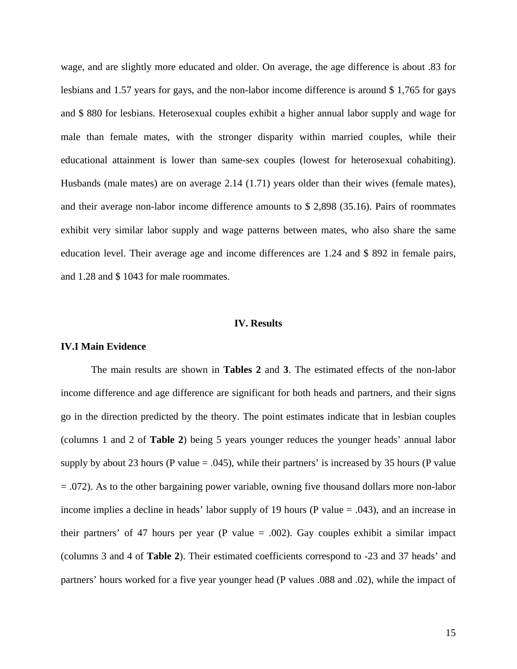wage, and are slightly more educated and older. On average, the age difference is about .83 for lesbians and 1.57 years for gays, and the non-labor income difference is around \$ 1,765 for gays and \$ 880 for lesbians. Heterosexual couples exhibit a higher annual labor supply and wage for male than female mates, with the stronger disparity within married couples, while their educational attainment is lower than same-sex couples (lowest for heterosexual cohabiting). Husbands (male mates) are on average 2.14 (1.71) years older than their wives (female mates), and their average non-labor income difference amounts to \$ 2,898 (35.16). Pairs of roommates exhibit very similar labor supply and wage patterns between mates, who also share the same education level. Their average age and income differences are 1.24 and \$ 892 in female pairs, and 1.28 and \$ 1043 for male roommates.

### **IV. Results**

### **IV.I Main Evidence**

The main results are shown in **Tables 2** and **3**. The estimated effects of the non-labor income difference and age difference are significant for both heads and partners, and their signs go in the direction predicted by the theory. The point estimates indicate that in lesbian couples (columns 1 and 2 of **Table 2**) being 5 years younger reduces the younger heads' annual labor supply by about 23 hours (P value  $= .045$ ), while their partners' is increased by 35 hours (P value = .072). As to the other bargaining power variable, owning five thousand dollars more non-labor income implies a decline in heads' labor supply of 19 hours (P value  $= .043$ ), and an increase in their partners' of 47 hours per year (P value  $= .002$ ). Gay couples exhibit a similar impact (columns 3 and 4 of **Table 2**). Their estimated coefficients correspond to -23 and 37 heads' and partners' hours worked for a five year younger head (P values .088 and .02), while the impact of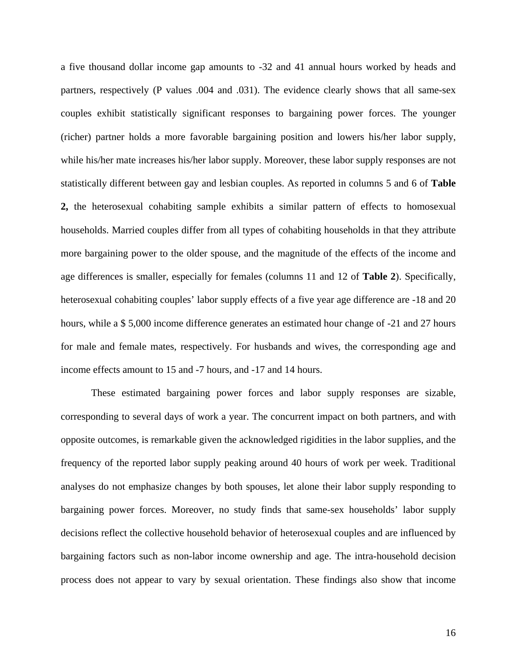a five thousand dollar income gap amounts to -32 and 41 annual hours worked by heads and partners, respectively (P values .004 and .031). The evidence clearly shows that all same-sex couples exhibit statistically significant responses to bargaining power forces. The younger (richer) partner holds a more favorable bargaining position and lowers his/her labor supply, while his/her mate increases his/her labor supply. Moreover, these labor supply responses are not statistically different between gay and lesbian couples. As reported in columns 5 and 6 of **Table 2,** the heterosexual cohabiting sample exhibits a similar pattern of effects to homosexual households. Married couples differ from all types of cohabiting households in that they attribute more bargaining power to the older spouse, and the magnitude of the effects of the income and age differences is smaller, especially for females (columns 11 and 12 of **Table 2**). Specifically, heterosexual cohabiting couples' labor supply effects of a five year age difference are  $-18$  and 20 hours, while a \$ 5,000 income difference generates an estimated hour change of -21 and 27 hours for male and female mates, respectively. For husbands and wives, the corresponding age and income effects amount to 15 and -7 hours, and -17 and 14 hours.

These estimated bargaining power forces and labor supply responses are sizable, corresponding to several days of work a year. The concurrent impact on both partners, and with opposite outcomes, is remarkable given the acknowledged rigidities in the labor supplies, and the frequency of the reported labor supply peaking around 40 hours of work per week. Traditional analyses do not emphasize changes by both spouses, let alone their labor supply responding to bargaining power forces. Moreover, no study finds that same-sex households' labor supply decisions reflect the collective household behavior of heterosexual couples and are influenced by bargaining factors such as non-labor income ownership and age. The intra-household decision process does not appear to vary by sexual orientation. These findings also show that income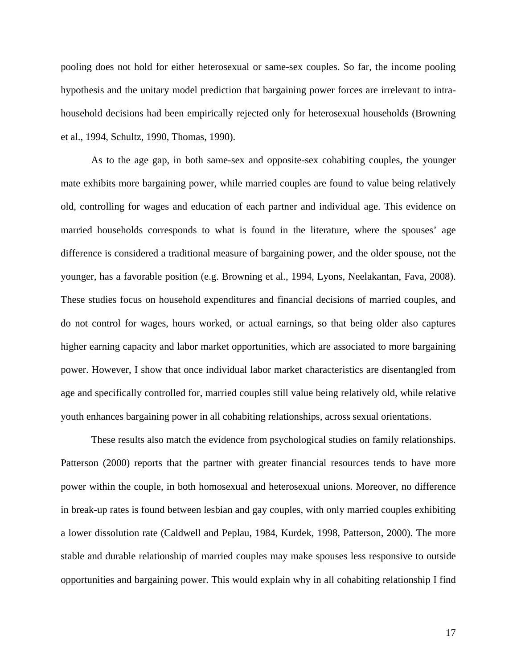pooling does not hold for either heterosexual or same-sex couples. So far, the income pooling hypothesis and the unitary model prediction that bargaining power forces are irrelevant to intrahousehold decisions had been empirically rejected only for heterosexual households (Browning et al., 1994, Schultz, 1990, Thomas, 1990).

As to the age gap, in both same-sex and opposite-sex cohabiting couples, the younger mate exhibits more bargaining power, while married couples are found to value being relatively old, controlling for wages and education of each partner and individual age. This evidence on married households corresponds to what is found in the literature, where the spouses' age difference is considered a traditional measure of bargaining power, and the older spouse, not the younger, has a favorable position (e.g. Browning et al., 1994, Lyons, Neelakantan, Fava, 2008). These studies focus on household expenditures and financial decisions of married couples, and do not control for wages, hours worked, or actual earnings, so that being older also captures higher earning capacity and labor market opportunities, which are associated to more bargaining power. However, I show that once individual labor market characteristics are disentangled from age and specifically controlled for, married couples still value being relatively old, while relative youth enhances bargaining power in all cohabiting relationships, across sexual orientations.

These results also match the evidence from psychological studies on family relationships. Patterson (2000) reports that the partner with greater financial resources tends to have more power within the couple, in both homosexual and heterosexual unions. Moreover, no difference in break-up rates is found between lesbian and gay couples, with only married couples exhibiting a lower dissolution rate (Caldwell and Peplau, 1984, Kurdek, 1998, Patterson, 2000). The more stable and durable relationship of married couples may make spouses less responsive to outside opportunities and bargaining power. This would explain why in all cohabiting relationship I find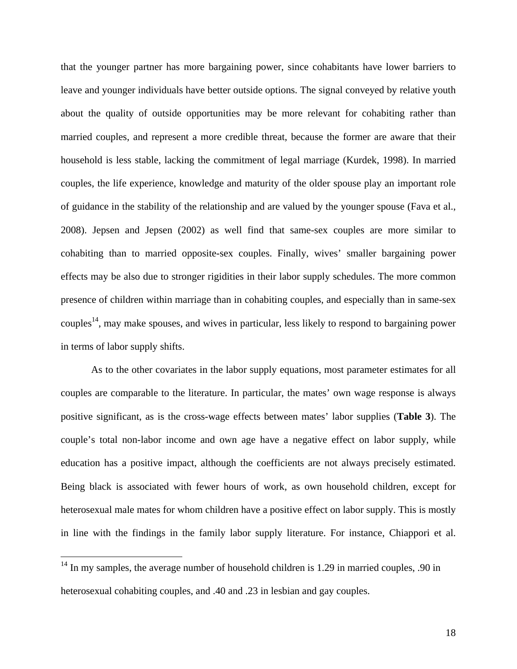that the younger partner has more bargaining power, since cohabitants have lower barriers to leave and younger individuals have better outside options. The signal conveyed by relative youth about the quality of outside opportunities may be more relevant for cohabiting rather than married couples, and represent a more credible threat, because the former are aware that their household is less stable, lacking the commitment of legal marriage (Kurdek, 1998). In married couples, the life experience, knowledge and maturity of the older spouse play an important role of guidance in the stability of the relationship and are valued by the younger spouse (Fava et al., 2008). Jepsen and Jepsen (2002) as well find that same-sex couples are more similar to cohabiting than to married opposite-sex couples. Finally, wives' smaller bargaining power effects may be also due to stronger rigidities in their labor supply schedules. The more common presence of children within marriage than in cohabiting couples, and especially than in same-sex couples<sup>14</sup>, may make spouses, and wives in particular, less likely to respond to bargaining power in terms of labor supply shifts.

As to the other covariates in the labor supply equations, most parameter estimates for all couples are comparable to the literature. In particular, the mates' own wage response is always positive significant, as is the cross-wage effects between mates' labor supplies (**Table 3**). The couple's total non-labor income and own age have a negative effect on labor supply, while education has a positive impact, although the coefficients are not always precisely estimated. Being black is associated with fewer hours of work, as own household children, except for heterosexual male mates for whom children have a positive effect on labor supply. This is mostly in line with the findings in the family labor supply literature. For instance, Chiappori et al.

 $\overline{a}$ 

 $14$  In my samples, the average number of household children is 1.29 in married couples, .90 in heterosexual cohabiting couples, and .40 and .23 in lesbian and gay couples.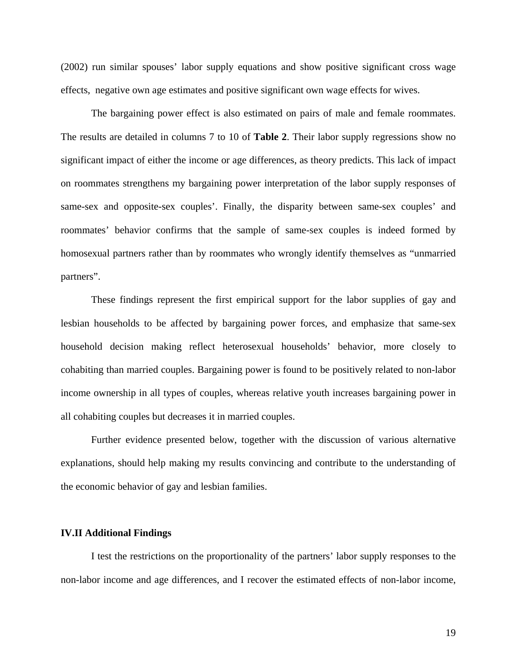(2002) run similar spouses' labor supply equations and show positive significant cross wage effects, negative own age estimates and positive significant own wage effects for wives.

The bargaining power effect is also estimated on pairs of male and female roommates. The results are detailed in columns 7 to 10 of **Table 2**. Their labor supply regressions show no significant impact of either the income or age differences, as theory predicts. This lack of impact on roommates strengthens my bargaining power interpretation of the labor supply responses of same-sex and opposite-sex couples'. Finally, the disparity between same-sex couples' and roommates' behavior confirms that the sample of same-sex couples is indeed formed by homosexual partners rather than by roommates who wrongly identify themselves as "unmarried partners".

These findings represent the first empirical support for the labor supplies of gay and lesbian households to be affected by bargaining power forces, and emphasize that same-sex household decision making reflect heterosexual households' behavior, more closely to cohabiting than married couples. Bargaining power is found to be positively related to non-labor income ownership in all types of couples, whereas relative youth increases bargaining power in all cohabiting couples but decreases it in married couples.

Further evidence presented below, together with the discussion of various alternative explanations, should help making my results convincing and contribute to the understanding of the economic behavior of gay and lesbian families.

### **IV.II Additional Findings**

 I test the restrictions on the proportionality of the partners' labor supply responses to the non-labor income and age differences, and I recover the estimated effects of non-labor income,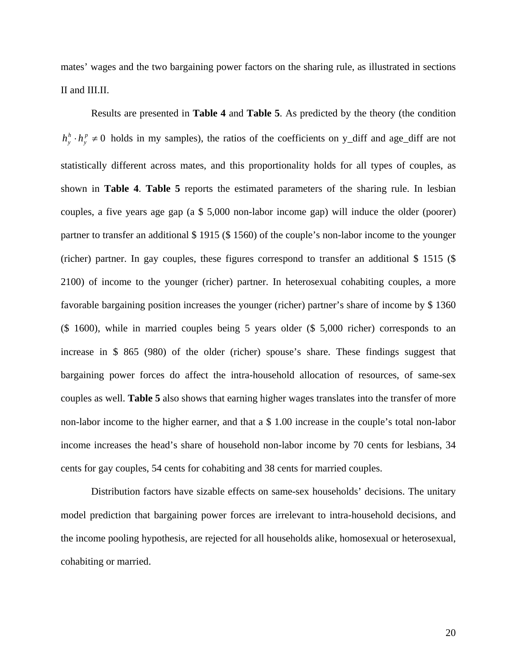mates' wages and the two bargaining power factors on the sharing rule, as illustrated in sections II and III.II.

Results are presented in **Table 4** and **Table 5**. As predicted by the theory (the condition  $\cdot h_y^p \neq 0$  $h_y^h \cdot h_y^p \neq 0$  holds in my samples), the ratios of the coefficients on y\_diff and age\_diff are not statistically different across mates, and this proportionality holds for all types of couples, as shown in **Table 4**. **Table 5** reports the estimated parameters of the sharing rule. In lesbian couples, a five years age gap (a \$ 5,000 non-labor income gap) will induce the older (poorer) partner to transfer an additional \$ 1915 (\$ 1560) of the couple's non-labor income to the younger (richer) partner. In gay couples, these figures correspond to transfer an additional \$ 1515 (\$ 2100) of income to the younger (richer) partner. In heterosexual cohabiting couples, a more favorable bargaining position increases the younger (richer) partner's share of income by \$ 1360 (\$ 1600), while in married couples being 5 years older (\$ 5,000 richer) corresponds to an increase in \$ 865 (980) of the older (richer) spouse's share. These findings suggest that bargaining power forces do affect the intra-household allocation of resources, of same-sex couples as well. **Table 5** also shows that earning higher wages translates into the transfer of more non-labor income to the higher earner, and that a \$ 1.00 increase in the couple's total non-labor income increases the head's share of household non-labor income by 70 cents for lesbians, 34 cents for gay couples, 54 cents for cohabiting and 38 cents for married couples.

Distribution factors have sizable effects on same-sex households' decisions. The unitary model prediction that bargaining power forces are irrelevant to intra-household decisions, and the income pooling hypothesis, are rejected for all households alike, homosexual or heterosexual, cohabiting or married.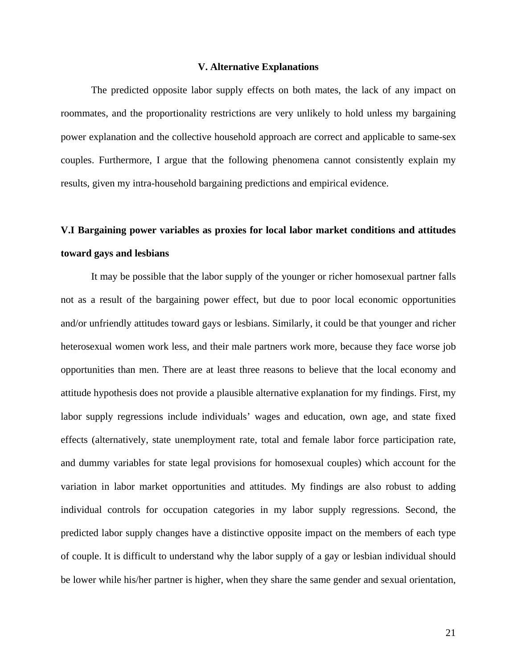### **V. Alternative Explanations**

The predicted opposite labor supply effects on both mates, the lack of any impact on roommates, and the proportionality restrictions are very unlikely to hold unless my bargaining power explanation and the collective household approach are correct and applicable to same-sex couples. Furthermore, I argue that the following phenomena cannot consistently explain my results, given my intra-household bargaining predictions and empirical evidence.

# **V.I Bargaining power variables as proxies for local labor market conditions and attitudes toward gays and lesbians**

It may be possible that the labor supply of the younger or richer homosexual partner falls not as a result of the bargaining power effect, but due to poor local economic opportunities and/or unfriendly attitudes toward gays or lesbians. Similarly, it could be that younger and richer heterosexual women work less, and their male partners work more, because they face worse job opportunities than men. There are at least three reasons to believe that the local economy and attitude hypothesis does not provide a plausible alternative explanation for my findings. First, my labor supply regressions include individuals' wages and education, own age, and state fixed effects (alternatively, state unemployment rate, total and female labor force participation rate, and dummy variables for state legal provisions for homosexual couples) which account for the variation in labor market opportunities and attitudes. My findings are also robust to adding individual controls for occupation categories in my labor supply regressions. Second, the predicted labor supply changes have a distinctive opposite impact on the members of each type of couple. It is difficult to understand why the labor supply of a gay or lesbian individual should be lower while his/her partner is higher, when they share the same gender and sexual orientation,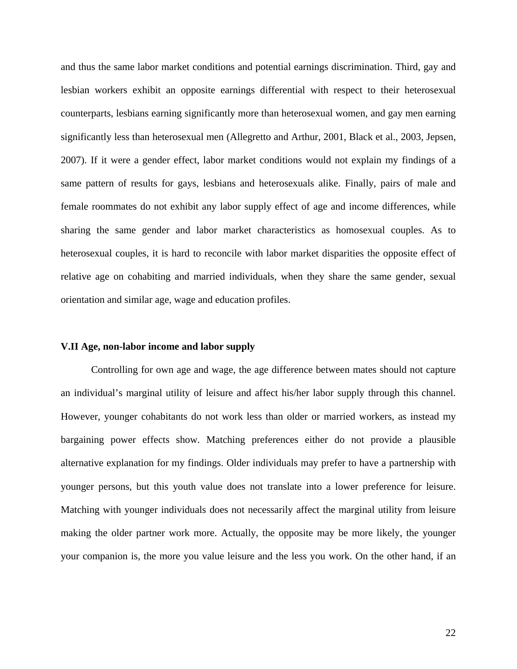and thus the same labor market conditions and potential earnings discrimination. Third, gay and lesbian workers exhibit an opposite earnings differential with respect to their heterosexual counterparts, lesbians earning significantly more than heterosexual women, and gay men earning significantly less than heterosexual men (Allegretto and Arthur, 2001, Black et al., 2003, Jepsen, 2007). If it were a gender effect, labor market conditions would not explain my findings of a same pattern of results for gays, lesbians and heterosexuals alike. Finally, pairs of male and female roommates do not exhibit any labor supply effect of age and income differences, while sharing the same gender and labor market characteristics as homosexual couples. As to heterosexual couples, it is hard to reconcile with labor market disparities the opposite effect of relative age on cohabiting and married individuals, when they share the same gender, sexual orientation and similar age, wage and education profiles.

### **V.II Age, non-labor income and labor supply**

 Controlling for own age and wage, the age difference between mates should not capture an individual's marginal utility of leisure and affect his/her labor supply through this channel. However, younger cohabitants do not work less than older or married workers, as instead my bargaining power effects show. Matching preferences either do not provide a plausible alternative explanation for my findings. Older individuals may prefer to have a partnership with younger persons, but this youth value does not translate into a lower preference for leisure. Matching with younger individuals does not necessarily affect the marginal utility from leisure making the older partner work more. Actually, the opposite may be more likely, the younger your companion is, the more you value leisure and the less you work. On the other hand, if an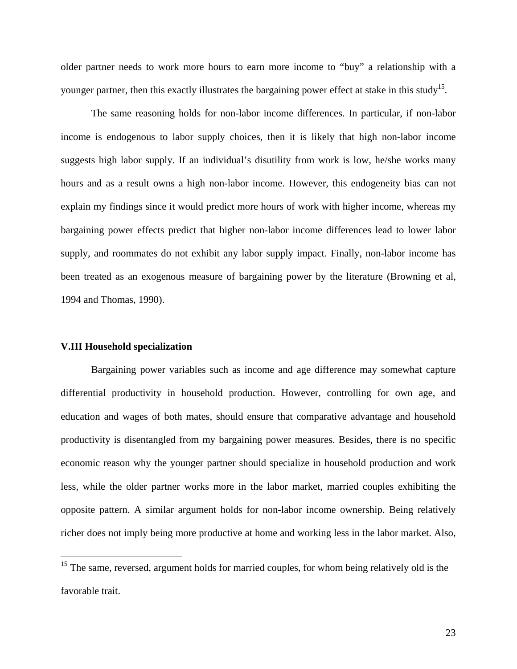older partner needs to work more hours to earn more income to "buy" a relationship with a younger partner, then this exactly illustrates the bargaining power effect at stake in this study<sup>15</sup>.

The same reasoning holds for non-labor income differences. In particular, if non-labor income is endogenous to labor supply choices, then it is likely that high non-labor income suggests high labor supply. If an individual's disutility from work is low, he/she works many hours and as a result owns a high non-labor income. However, this endogeneity bias can not explain my findings since it would predict more hours of work with higher income, whereas my bargaining power effects predict that higher non-labor income differences lead to lower labor supply, and roommates do not exhibit any labor supply impact. Finally, non-labor income has been treated as an exogenous measure of bargaining power by the literature (Browning et al, 1994 and Thomas, 1990).

### **V.III Household specialization**

1

Bargaining power variables such as income and age difference may somewhat capture differential productivity in household production. However, controlling for own age, and education and wages of both mates, should ensure that comparative advantage and household productivity is disentangled from my bargaining power measures. Besides, there is no specific economic reason why the younger partner should specialize in household production and work less, while the older partner works more in the labor market, married couples exhibiting the opposite pattern. A similar argument holds for non-labor income ownership. Being relatively richer does not imply being more productive at home and working less in the labor market. Also,

<sup>&</sup>lt;sup>15</sup> The same, reversed, argument holds for married couples, for whom being relatively old is the favorable trait.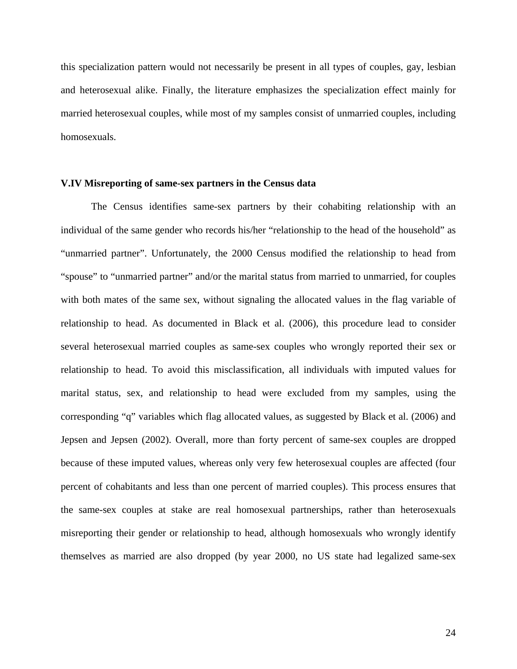this specialization pattern would not necessarily be present in all types of couples, gay, lesbian and heterosexual alike. Finally, the literature emphasizes the specialization effect mainly for married heterosexual couples, while most of my samples consist of unmarried couples, including homosexuals.

### **V.IV Misreporting of same-sex partners in the Census data**

The Census identifies same-sex partners by their cohabiting relationship with an individual of the same gender who records his/her "relationship to the head of the household" as "unmarried partner". Unfortunately, the 2000 Census modified the relationship to head from "spouse" to "unmarried partner" and/or the marital status from married to unmarried, for couples with both mates of the same sex, without signaling the allocated values in the flag variable of relationship to head. As documented in Black et al. (2006), this procedure lead to consider several heterosexual married couples as same-sex couples who wrongly reported their sex or relationship to head. To avoid this misclassification, all individuals with imputed values for marital status, sex, and relationship to head were excluded from my samples, using the corresponding "q" variables which flag allocated values, as suggested by Black et al. (2006) and Jepsen and Jepsen (2002). Overall, more than forty percent of same-sex couples are dropped because of these imputed values, whereas only very few heterosexual couples are affected (four percent of cohabitants and less than one percent of married couples). This process ensures that the same-sex couples at stake are real homosexual partnerships, rather than heterosexuals misreporting their gender or relationship to head, although homosexuals who wrongly identify themselves as married are also dropped (by year 2000, no US state had legalized same-sex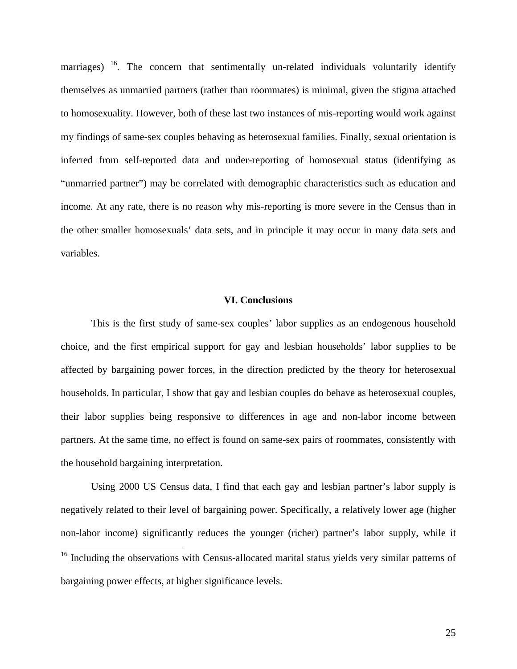marriages)  $16$ . The concern that sentimentally un-related individuals voluntarily identify themselves as unmarried partners (rather than roommates) is minimal, given the stigma attached to homosexuality. However, both of these last two instances of mis-reporting would work against my findings of same-sex couples behaving as heterosexual families. Finally, sexual orientation is inferred from self-reported data and under-reporting of homosexual status (identifying as "unmarried partner") may be correlated with demographic characteristics such as education and income. At any rate, there is no reason why mis-reporting is more severe in the Census than in the other smaller homosexuals' data sets, and in principle it may occur in many data sets and variables.

### **VI. Conclusions**

This is the first study of same-sex couples' labor supplies as an endogenous household choice, and the first empirical support for gay and lesbian households' labor supplies to be affected by bargaining power forces, in the direction predicted by the theory for heterosexual households. In particular, I show that gay and lesbian couples do behave as heterosexual couples, their labor supplies being responsive to differences in age and non-labor income between partners. At the same time, no effect is found on same-sex pairs of roommates, consistently with the household bargaining interpretation.

Using 2000 US Census data, I find that each gay and lesbian partner's labor supply is negatively related to their level of bargaining power. Specifically, a relatively lower age (higher non-labor income) significantly reduces the younger (richer) partner's labor supply, while it 1

<sup>&</sup>lt;sup>16</sup> Including the observations with Census-allocated marital status yields very similar patterns of bargaining power effects, at higher significance levels.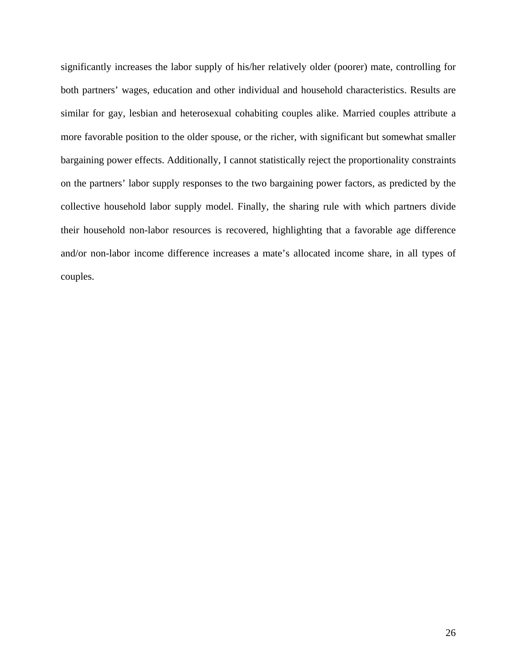significantly increases the labor supply of his/her relatively older (poorer) mate, controlling for both partners' wages, education and other individual and household characteristics. Results are similar for gay, lesbian and heterosexual cohabiting couples alike. Married couples attribute a more favorable position to the older spouse, or the richer, with significant but somewhat smaller bargaining power effects. Additionally, I cannot statistically reject the proportionality constraints on the partners' labor supply responses to the two bargaining power factors, as predicted by the collective household labor supply model. Finally, the sharing rule with which partners divide their household non-labor resources is recovered, highlighting that a favorable age difference and/or non-labor income difference increases a mate's allocated income share, in all types of couples.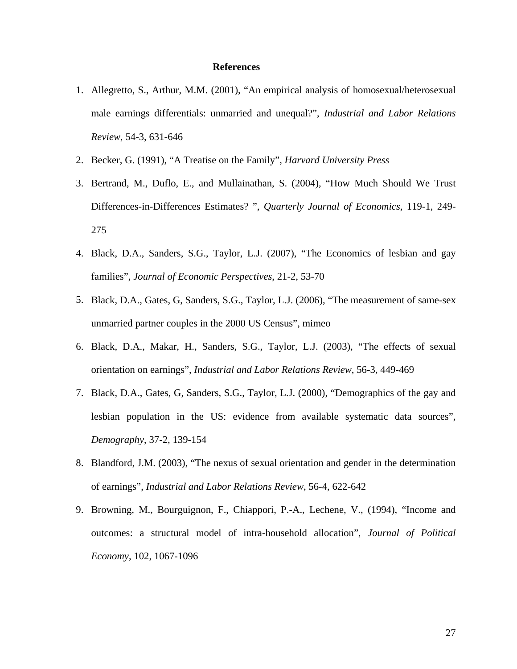### **References**

- 1. Allegretto, S., Arthur, M.M. (2001), "An empirical analysis of homosexual/heterosexual male earnings differentials: unmarried and unequal?", *Industrial and Labor Relations Review*, 54-3, 631-646
- 2. Becker, G. (1991), "A Treatise on the Family", *Harvard University Press*
- 3. Bertrand, M., Duflo, E., and Mullainathan, S. (2004), "How Much Should We Trust Differences-in-Differences Estimates? ", *Quarterly Journal of Economics*, 119-1, 249- 275
- 4. Black, D.A., Sanders, S.G., Taylor, L.J. (2007), "The Economics of lesbian and gay families", *Journal of Economic Perspectives*, 21-2, 53-70
- 5. Black, D.A., Gates, G, Sanders, S.G., Taylor, L.J. (2006), "The measurement of same-sex unmarried partner couples in the 2000 US Census", mimeo
- 6. Black, D.A., Makar, H., Sanders, S.G., Taylor, L.J. (2003), "The effects of sexual orientation on earnings", *Industrial and Labor Relations Review*, 56-3, 449-469
- 7. Black, D.A., Gates, G, Sanders, S.G., Taylor, L.J. (2000), "Demographics of the gay and lesbian population in the US: evidence from available systematic data sources", *Demography*, 37-2, 139-154
- 8. Blandford, J.M. (2003), "The nexus of sexual orientation and gender in the determination of earnings", *Industrial and Labor Relations Review*, 56-4, 622-642
- 9. Browning, M., Bourguignon, F., Chiappori, P.-A., Lechene, V., (1994), "Income and outcomes: a structural model of intra-household allocation", *Journal of Political Economy*, 102, 1067-1096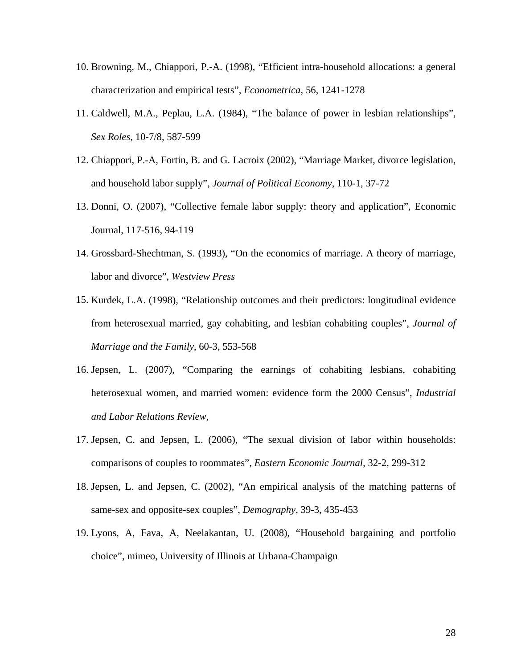- 10. Browning, M., Chiappori, P.-A. (1998), "Efficient intra-household allocations: a general characterization and empirical tests", *Econometrica*, 56, 1241-1278
- 11. Caldwell, M.A., Peplau, L.A. (1984), "The balance of power in lesbian relationships", *Sex Roles*, 10-7/8, 587-599
- 12. Chiappori, P.-A, Fortin, B. and G. Lacroix (2002), "Marriage Market, divorce legislation, and household labor supply", *Journal of Political Economy*, 110-1, 37-72
- 13. Donni, O. (2007), "Collective female labor supply: theory and application", Economic Journal, 117-516, 94-119
- 14. Grossbard-Shechtman, S. (1993), "On the economics of marriage. A theory of marriage, labor and divorce", *Westview Press*
- 15. Kurdek, L.A. (1998), "Relationship outcomes and their predictors: longitudinal evidence from heterosexual married, gay cohabiting, and lesbian cohabiting couples", *Journal of Marriage and the Family*, 60-3, 553-568
- 16. Jepsen, L. (2007), "Comparing the earnings of cohabiting lesbians, cohabiting heterosexual women, and married women: evidence form the 2000 Census", *Industrial and Labor Relations Review*,
- 17. Jepsen, C. and Jepsen, L. (2006), "The sexual division of labor within households: comparisons of couples to roommates", *Eastern Economic Journal*, 32-2, 299-312
- 18. Jepsen, L. and Jepsen, C. (2002), "An empirical analysis of the matching patterns of same-sex and opposite-sex couples", *Demography*, 39-3, 435-453
- 19. Lyons, A, Fava, A, Neelakantan, U. (2008), "Household bargaining and portfolio choice", mimeo, University of Illinois at Urbana-Champaign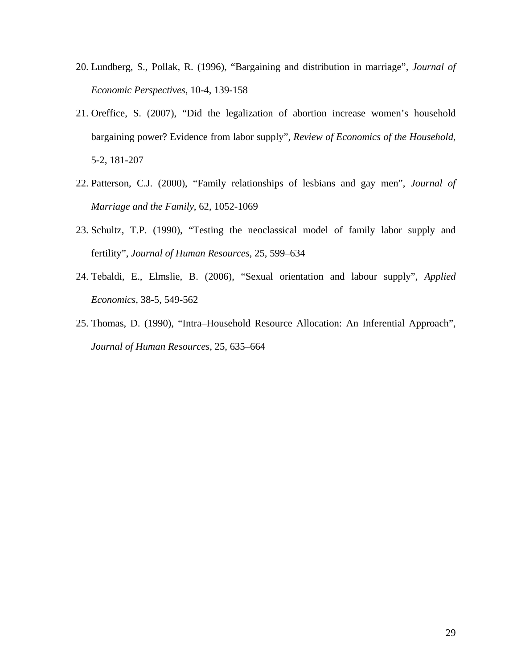- 20. Lundberg, S., Pollak, R. (1996), "Bargaining and distribution in marriage", *Journal of Economic Perspectives*, 10-4, 139-158
- 21. Oreffice, S. (2007), "Did the legalization of abortion increase women's household bargaining power? Evidence from labor supply", *Review of Economics of the Household*, 5-2, 181-207
- 22. Patterson, C.J. (2000), "Family relationships of lesbians and gay men", *Journal of Marriage and the Family*, 62, 1052-1069
- 23. Schultz, T.P. (1990), "Testing the neoclassical model of family labor supply and fertility", *Journal of Human Resources*, 25, 599–634
- 24. Tebaldi, E., Elmslie, B. (2006), "Sexual orientation and labour supply", *Applied Economics*, 38-5, 549-562
- 25. Thomas, D. (1990), "Intra–Household Resource Allocation: An Inferential Approach", *Journal of Human Resources*, 25, 635–664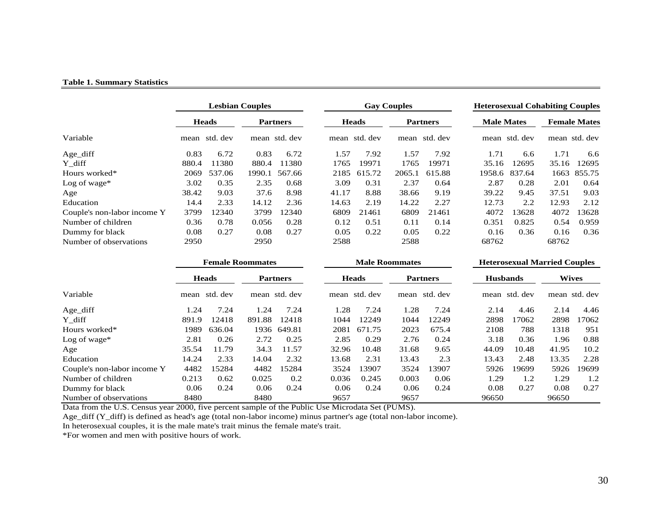#### **Table 1. Summary Statistics**

|                             | <b>Lesbian Couples</b> |              |        |                 | <b>Gay Couples</b> |              |        | <b>Heterosexual Cohabiting Couples</b> |                   |               |       |                     |
|-----------------------------|------------------------|--------------|--------|-----------------|--------------------|--------------|--------|----------------------------------------|-------------------|---------------|-------|---------------------|
|                             |                        | <b>Heads</b> |        | <b>Partners</b> |                    | <b>Heads</b> |        | <b>Partners</b>                        | <b>Male Mates</b> |               |       | <b>Female Mates</b> |
| Variable                    | mean                   | std. dev     |        | mean std. dev   | mean               | std. dev     |        | mean std. dev                          |                   | mean std. dev |       | mean std. dev       |
| Age diff                    | 0.83                   | 6.72         | 0.83   | 6.72            | 1.57               | 7.92         | 1.57   | 7.92                                   | 1.71              | 6.6           | 1.71  | 6.6                 |
| Y diff                      | 880.4                  | 11380        | 880.4  | 1380            | 1765               | 19971        | 1765   | 19971                                  | 35.16             | 12695         | 35.16 | 12695               |
| Hours worked*               | 2069                   | 537.06       | 1990.1 | 567.66          | 2185               | 615.72       | 2065.1 | 615.88                                 | 1958.6            | 837.64        | 1663  | 855.75              |
| Log of wage*                | 3.02                   | 0.35         | 2.35   | 0.68            | 3.09               | 0.31         | 2.37   | 0.64                                   | 2.87              | 0.28          | 2.01  | 0.64                |
| Age                         | 38.42                  | 9.03         | 37.6   | 8.98            | 41.17              | 8.88         | 38.66  | 9.19                                   | 39.22             | 9.45          | 37.51 | 9.03                |
| Education                   | 14.4                   | 2.33         | 14.12  | 2.36            | 14.63              | 2.19         | 14.22  | 2.27                                   | 12.73             | 2.2           | 12.93 | 2.12                |
| Couple's non-labor income Y | 3799                   | 12340        | 3799   | 12340           | 6809               | 21461        | 6809   | 21461                                  | 4072              | 13628         | 4072  | 13628               |
| Number of children          | 0.36                   | 0.78         | 0.056  | 0.28            | 0.12               | 0.51         | 0.11   | 0.14                                   | 0.351             | 0.825         | 0.54  | 0.959               |
| Dummy for black             | 0.08                   | 0.27         | 0.08   | 0.27            | 0.05               | 0.22         | 0.05   | 0.22                                   | 0.16              | 0.36          | 0.16  | 0.36                |
| Number of observations      | 2950                   |              | 2950   |                 | 2588               |              | 2588   |                                        | 68762             |               | 68762 |                     |

|                             | <b>Female Roommates</b> |              |        |                 | <b>Male Roommates</b> |              |       | <b>Heterosexual Married Couples</b> |                 |          |              |               |
|-----------------------------|-------------------------|--------------|--------|-----------------|-----------------------|--------------|-------|-------------------------------------|-----------------|----------|--------------|---------------|
|                             |                         | <b>Heads</b> |        | <b>Partners</b> |                       | <b>Heads</b> |       | <b>Partners</b>                     | <b>Husbands</b> |          | <b>Wives</b> |               |
| Variable                    | mean                    | std. dev     |        | mean std. dev   | mean                  | std. dev     | mean  | std. dev                            | mean            | std. dev |              | mean std. dev |
| Age_diff                    | 1.24                    | 7.24         | 1.24   | 7.24            | 1.28                  | 7.24         | 1.28  | 7.24                                | 2.14            | 4.46     | 2.14         | 4.46          |
| Y diff                      | 891.9                   | 12418        | 891.88 | 12418           | 1044                  | 12249        | 1044  | 12249                               | 2898            | 17062    | 2898         | 17062         |
| Hours worked*               | 1989                    | 636.04       |        | 1936 649.81     | 2081                  | 671.75       | 2023  | 675.4                               | 2108            | 788      | 1318         | 951           |
| Log of wage*                | 2.81                    | 0.26         | 2.72   | 0.25            | 2.85                  | 0.29         | 2.76  | 0.24                                | 3.18            | 0.36     | 1.96         | 0.88          |
| Age                         | 35.54                   | 11.79        | 34.3   | 11.57           | 32.96                 | 10.48        | 31.68 | 9.65                                | 44.09           | 10.48    | 41.95        | 10.2          |
| Education                   | 14.24                   | 2.33         | 14.04  | 2.32            | 13.68                 | 2.31         | 13.43 | 2.3                                 | 13.43           | 2.48     | 13.35        | 2.28          |
| Couple's non-labor income Y | 4482                    | 15284        | 4482   | 15284           | 3524                  | 13907        | 3524  | 13907                               | 5926            | 19699    | 5926         | 19699         |
| Number of children          | 0.213                   | 0.62         | 0.025  | 0.2             | 0.036                 | 0.245        | 0.003 | 0.06                                | 1.29            | 1.2      | 1.29         | 1.2           |
| Dummy for black             | 0.06                    | 0.24         | 0.06   | 0.24            | 0.06                  | 0.24         | 0.06  | 0.24                                | 0.08            | 0.27     | 0.08         | 0.27          |
| Number of observations      | 8480                    |              | 8480   |                 | 9657                  |              | 9657  |                                     | 96650           |          | 96650        |               |

Data from the U.S. Census year 2000, five percent sample of the Public Use Microdata Set (PUMS).

Age\_diff (Y\_diff) is defined as head's age (total non-labor income) minus partner's age (total non-labor income).

In heterosexual couples, it is the male mate's trait minus the female mate's trait.

\*For women and men with positive hours of work.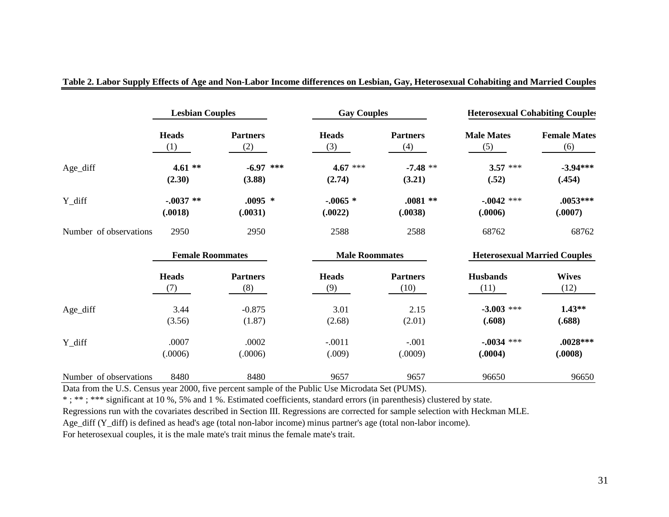|                        | <b>Lesbian Couples</b>  |                        |                       | <b>Gay Couples</b>   |                         |                                     | <b>Heterosexual Cohabiting Couples</b> |
|------------------------|-------------------------|------------------------|-----------------------|----------------------|-------------------------|-------------------------------------|----------------------------------------|
|                        | <b>Heads</b><br>(1)     | <b>Partners</b><br>(2) |                       | <b>Heads</b><br>(3)  | <b>Partners</b><br>(4)  | <b>Male Mates</b><br>(5)            | <b>Female Mates</b><br>(6)             |
| Age_diff               | $4.61**$<br>(2.30)      | $-6.97$<br>(3.88)      | ***                   | $4.67$ ***<br>(2.74) | $-7.48**$<br>(3.21)     | $3.57$ ***<br>(.52)                 | $-3.94***$<br>(.454)                   |
| Y_diff                 | $-.0037**$<br>(.0018)   | $.0095*$<br>(.0031)    |                       | $-.0065*$<br>(.0022) | $.0081**$<br>(.0038)    | $-0.042$ ***<br>(.0006)             | $.0053***$<br>(.0007)                  |
| Number of observations | 2950                    | 2950                   |                       | 2588                 | 2588                    | 68762                               | 68762                                  |
|                        | <b>Female Roommates</b> |                        | <b>Male Roommates</b> |                      |                         | <b>Heterosexual Married Couples</b> |                                        |
|                        | <b>Heads</b><br>(7)     | <b>Partners</b><br>(8) |                       | <b>Heads</b><br>(9)  | <b>Partners</b><br>(10) | <b>Husbands</b><br>(11)             | <b>Wives</b><br>(12)                   |
| Age_diff               | 3.44<br>(3.56)          | $-0.875$<br>(1.87)     |                       | 3.01<br>(2.68)       | 2.15<br>(2.01)          | $-3.003$ ***<br>(.608)              | $1.43**$<br>(.688)                     |
| Y_diff                 | .0007<br>(.0006)        | .0002<br>(.0006)       |                       | $-.0011$<br>(.009)   | $-.001$<br>(.0009)      | $-0.034$ ***<br>(.0004)             | $.0028***$<br>(.0008)                  |
| Number of observations | 8480                    | 8480                   |                       | 9657                 | 9657                    | 96650                               | 96650                                  |

**Table 2. Labor Supply Effects of Age and Non-Labor Income differences on Lesbian, Gay, Heterosexual Cohabiting and Married Couples**

Data from the U.S. Census year 2000, five percent sample of the Public Use Microdata Set (PUMS).

\*: \*\*\*: \*\*\* significant at 10 %, 5% and 1 %. Estimated coefficients, standard errors (in parenthesis) clustered by state.

Regressions run with the covariates described in Section III. Regressions are corrected for sample selection with Heckman MLE.

Age\_diff (Y\_diff) is defined as head's age (total non-labor income) minus partner's age (total non-labor income).

For heterosexual couples, it is the male mate's trait minus the female mate's trait.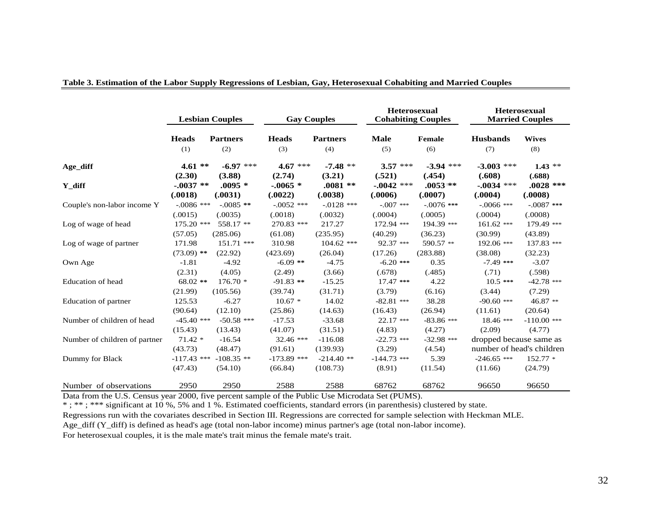|                               |                                     | <b>Lesbian Couples</b>             | <b>Gay Couples</b>                  |                                      | <b>Heterosexual</b><br><b>Cohabiting Couples</b> |                           | <b>Heterosexual</b><br><b>Married Couples</b>        |                      |  |
|-------------------------------|-------------------------------------|------------------------------------|-------------------------------------|--------------------------------------|--------------------------------------------------|---------------------------|------------------------------------------------------|----------------------|--|
|                               | <b>Heads</b>                        | <b>Partners</b>                    | <b>Heads</b>                        | <b>Partners</b>                      | <b>Male</b>                                      | Female                    | <b>Husbands</b>                                      | <b>Wives</b>         |  |
|                               | (1)                                 | (2)                                | (3)                                 | (4)                                  | (5)                                              | (6)                       | (7)                                                  | (8)                  |  |
| Age diff                      | $4.61**$                            | $-6.97$ ***                        | $4.67$ ***                          | $-7.48**$                            | $3.57$ ***                                       | $-3.94$ ***               | $-3.003$ ***                                         | $1.43$ **            |  |
|                               | (2.30)                              | (3.88)                             | (2.74)                              | (3.21)                               | (.521)                                           | (.454)                    | (.608)                                               | (.688)               |  |
| Y diff                        | $-0.037**$                          | $.0095 *$                          | $-.0065$ *                          | $.0081**$                            | $-.0042$ ***                                     | $.0053$ **                | $-.0034$ ***                                         | $.0028$ ***          |  |
|                               | (.0018)                             | (.0031)                            | (.0022)                             | (.0038)                              | (.0006)                                          | (.0007)                   | (.0004)                                              | (.0008)              |  |
| Couple's non-labor income Y   | $-.0086$ ***                        | $-.0085**$                         | $-.0052$ ***                        | $-.0128$ ***                         | $-.007$ ***                                      | $-.0076$ ***              | $-.0066$ ***                                         | $-.0087$ ***         |  |
|                               | (.0015)                             | (.0035)                            | (.0018)                             | (.0032)                              | (.0004)                                          | (.0005)                   | (.0004)                                              | (.0008)              |  |
| Log of wage of head           | 175.20 ***                          | 558.17 **                          | 270.83 ***                          | 217.27                               | 172.94 ***                                       | 194.39 ***                | $161.62$ ***                                         | 179.49 ***           |  |
|                               | (57.05)                             | (285.06)                           | (61.08)                             | (235.95)                             | (40.29)                                          | (36.23)                   | (30.99)                                              | (43.89)              |  |
| Log of wage of partner        | 171.98                              | 151.71 ***                         | 310.98                              | $104.62$ ***                         | 92.37 ***                                        | 590.57 **                 | 192.06 ***                                           | 137.83 ***           |  |
|                               | $(73.09)$ **                        | (22.92)                            | (423.69)                            | (26.04)                              | (17.26)                                          | (283.88)                  | (38.08)                                              | (32.23)              |  |
| Own Age                       | $-1.81$                             | $-4.92$                            | $-6.09$ **                          | $-4.75$                              | $-6.20$ ***                                      | 0.35                      | $-7.49$ ***                                          | $-3.07$              |  |
|                               | (2.31)                              | (4.05)                             | (2.49)                              | (3.66)                               | (.678)                                           | (.485)                    | (.71)                                                | (.598)               |  |
| <b>Education of head</b>      | $68.02$ **                          | $176.70*$                          | $-91.83$ **                         | $-15.25$                             | $17.47$ ***                                      | 4.22                      | $10.5***$                                            | $-42.78$ ***         |  |
|                               | (21.99)                             | (105.56)                           | (39.74)                             | (31.71)                              | (3.79)                                           | (6.16)                    | (3.44)                                               | (7.29)               |  |
| <b>Education of partner</b>   | 125.53                              | $-6.27$                            | $10.67*$                            | 14.02                                | $-82.81$ ***                                     | 38.28                     | $-90.60$ ***                                         | 46.87 **             |  |
|                               | (90.64)                             | (12.10)                            | (25.86)                             | (14.63)                              | (16.43)                                          | (26.94)                   | (11.61)                                              | (20.64)              |  |
| Number of children of head    | $-45.40$ ***                        | $-50.58$ ***                       | $-17.53$                            | $-33.68$                             | $22.17$ ***                                      | $-83.86$ ***              | $18.46$ ***                                          | $-110.00$ ***        |  |
|                               | (15.43)                             | (13.43)                            | (41.07)                             | (31.51)                              | (4.83)                                           | (4.27)                    | (2.09)                                               | (4.77)               |  |
| Number of children of partner | $71.42*$                            | $-16.54$                           | $32.46$ ***                         | $-116.08$                            | $-22.73$ ***                                     | $-32.98$ ***              | dropped because same as<br>number of head's children |                      |  |
| Dummy for Black               | (43.73)<br>$-117.43$ ***<br>(47.43) | (48.47)<br>$-108.35$ **<br>(54.10) | (91.61)<br>$-173.89$ ***<br>(66.84) | (139.93)<br>$-214.40$ **<br>(108.73) | (3.29)<br>$-144.73$ ***<br>(8.91)                | (4.54)<br>5.39<br>(11.54) | $-246.65$ ***<br>(11.66)                             | $152.77*$<br>(24.79) |  |
| Number of observations        | 2950                                | 2950                               | 2588                                | 2588                                 | 68762                                            | 68762                     | 96650                                                | 96650                |  |

### **Table 3. Estimation of the Labor Supply Regressions of Lesbian, Gay, Heterosexual Cohabiting and Married Couples**

Data from the U.S. Census year 2000, five percent sample of the Public Use Microdata Set (PUMS).

\* ; \*\* ; \*\*\* significant at 10 %, 5% and 1 %. Estimated coefficients, standard errors (in parenthesis) clustered by state.

Regressions run with the covariates described in Section III. Regressions are corrected for sample selection with Heckman MLE.

Age\_diff (Y\_diff) is defined as head's age (total non-labor income) minus partner's age (total non-labor income).

For heterosexual couples, it is the male mate's trait minus the female mate's trait.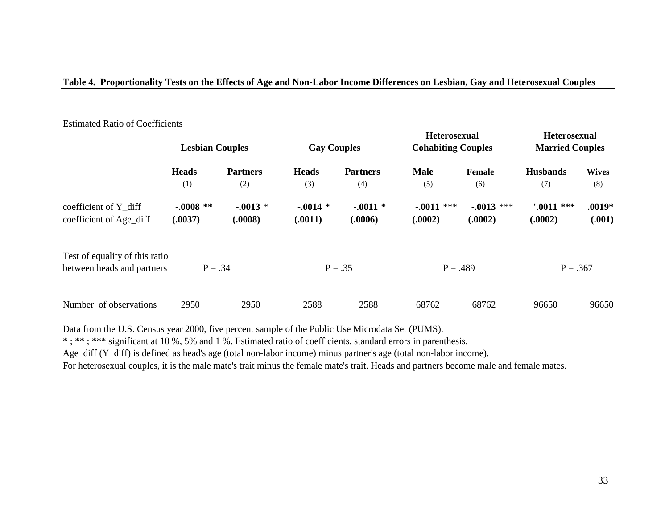## **Table 4. Proportionality Tests on the Effects of Age and Non-Labor Income Differences on Lesbian, Gay and Heterosexual Couples**

|                                                              | <b>Lesbian Couples</b> |                        | <b>Gay Couples</b>   |                        | <b>Heterosexual</b><br><b>Cohabiting Couples</b> |                         | <b>Heterosexual</b><br><b>Married Couples</b> |                     |  |
|--------------------------------------------------------------|------------------------|------------------------|----------------------|------------------------|--------------------------------------------------|-------------------------|-----------------------------------------------|---------------------|--|
|                                                              | <b>Heads</b><br>(1)    | <b>Partners</b><br>(2) | <b>Heads</b><br>(3)  | <b>Partners</b><br>(4) | <b>Male</b><br>(5)                               | Female<br>(6)           | <b>Husbands</b><br>(7)                        | <b>Wives</b><br>(8) |  |
| coefficient of Y_diff<br>coefficient of Age_diff             | $-.0008**$<br>(.0037)  | $-.0013*$<br>(.0008)   | $-.0014*$<br>(.0011) | $-.0011$ *<br>(.0006)  | $-.0011$ ***<br>(.0002)                          | $-.0013$ ***<br>(.0002) | $0011$ ***<br>(.0002)                         | $.0019*$<br>(.001)  |  |
| Test of equality of this ratio<br>between heads and partners | $P = .34$              |                        |                      | $P = .35$              | $P = .489$                                       |                         | $P = .367$                                    |                     |  |
| Number of observations                                       | 2950                   | 2950                   | 2588                 | 2588                   | 68762                                            | 68762                   | 96650                                         | 96650               |  |

### Estimated Ratio of Coefficients

Data from the U.S. Census year 2000, five percent sample of the Public Use Microdata Set (PUMS).

\* ; \*\* ; \*\*\* significant at 10 %, 5% and 1 %. Estimated ratio of coefficients, standard errors in parenthesis.

Age\_diff (Y\_diff) is defined as head's age (total non-labor income) minus partner's age (total non-labor income).

For heterosexual couples, it is the male mate's trait minus the female mate's trait. Heads and partners become male and female mates.